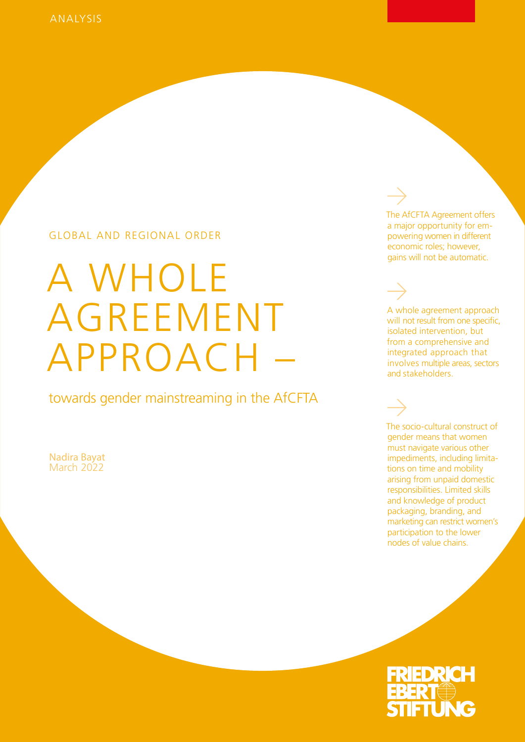## GLOBAL AND REGIONAL ORDER

# A WHOLE AGREEMENT APPROACH –

towards gender mainstreaming in the AfCFTA

Nadira Bayat March 2022

The AfCFTA Agreement offers a major opportunity for empowering women in different economic roles; however, gains will not be automatic.

A whole agreement approach will not result from one specific, isolated intervention, but from a comprehensive and integrated approach that involves multiple areas, sectors and stakeholders.

The socio-cultural construct of gender means that women must navigate various other impediments, including limitations on time and mobility arising from unpaid domestic responsibilities. Limited skills and knowledge of product packaging, branding, and marketing can restrict women's participation to the lower nodes of value chains.

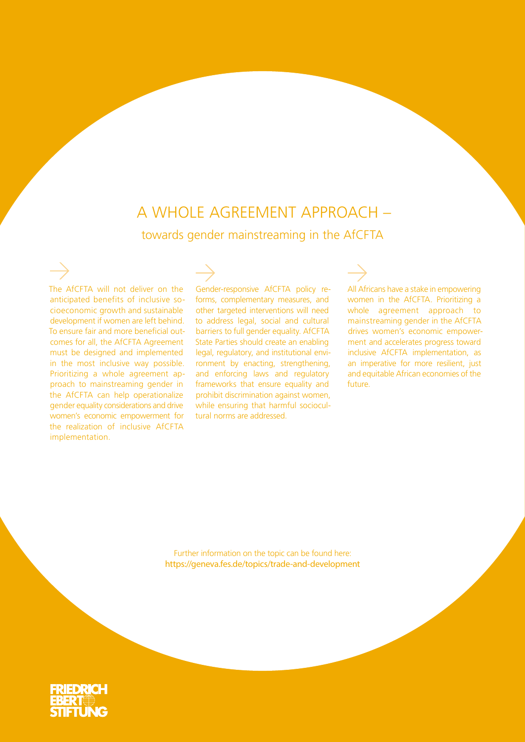## A WHOLE AGREEMENT APPROACH – towards gender mainstreaming in the AfCFTA

The AfCFTA will not deliver on the anticipated benefits of inclusive socioeconomic growth and sustainable development if women are left behind. To ensure fair and more beneficial outcomes for all, the AfCFTA Agreement must be designed and implemented in the most inclusive way possible. Prioritizing a whole agreement approach to mainstreaming gender in the AfCFTA can help operationalize gender equality considerations and drive women's economic empowerment for the realization of inclusive AfCFTA implementation.

Gender-responsive AfCFTA policy reforms, complementary measures, and other targeted interventions will need to address legal, social and cultural barriers to full gender equality. AfCFTA State Parties should create an enabling legal, regulatory, and institutional environment by enacting, strengthening, and enforcing laws and regulatory frameworks that ensure equality and prohibit discrimination against women, while ensuring that harmful sociocultural norms are addressed.

All Africans have a stake in empowering women in the AfCFTA. Prioritizing a whole agreement approach to mainstreaming gender in the AfCFTA drives women's economic empowerment and accelerates progress toward inclusive AfCFTA implementation, as an imperative for more resilient, just and equitable African economies of the future.

Further information on the topic can be found here: https://geneva.fes.de/topics/trade-and-development

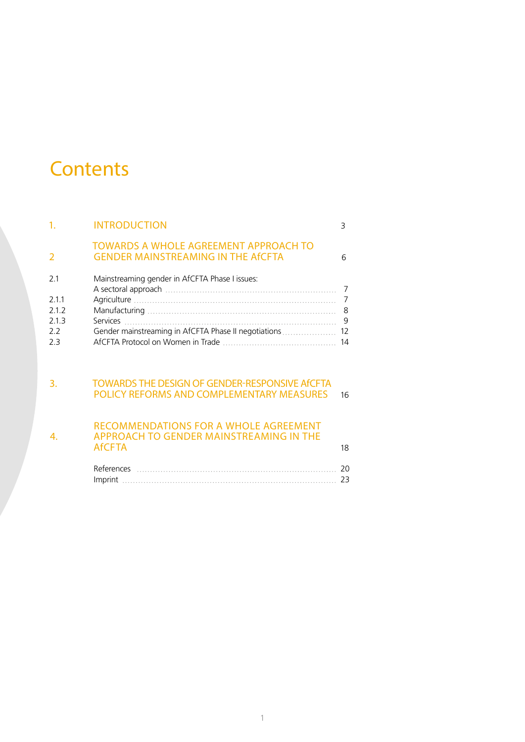# **Contents**

| 1 <sub>1</sub>                               | <b>INTRODUCTION</b>                                                                                      | 3                                    |
|----------------------------------------------|----------------------------------------------------------------------------------------------------------|--------------------------------------|
| 2                                            | <b>TOWARDS A WHOLE AGREEMENT APPROACH TO</b><br><b>GENDER MAINSTREAMING IN THE AFCFTA</b>                | 6                                    |
| 2.1<br>2.1.1<br>2.1.2<br>2.1.3<br>2.2<br>2.3 | Mainstreaming gender in AfCFTA Phase I issues:<br>Gender mainstreaming in AfCFTA Phase II negotiations   | 7<br>$\overline{7}$<br>9<br>12<br>14 |
| 3.                                           | <b>TOWARDS THE DESIGN OF GENDER-RESPONSIVE AFCFTA</b><br>POLICY REFORMS AND COMPLEMENTARY MEASURES       | 16                                   |
| 4.                                           | <b>RECOMMENDATIONS FOR A WHOLE AGREEMENT</b><br>APPROACH TO GENDER MAINSTREAMING IN THE<br><b>AfCFTA</b> | 18                                   |
|                                              |                                                                                                          | 20<br>23                             |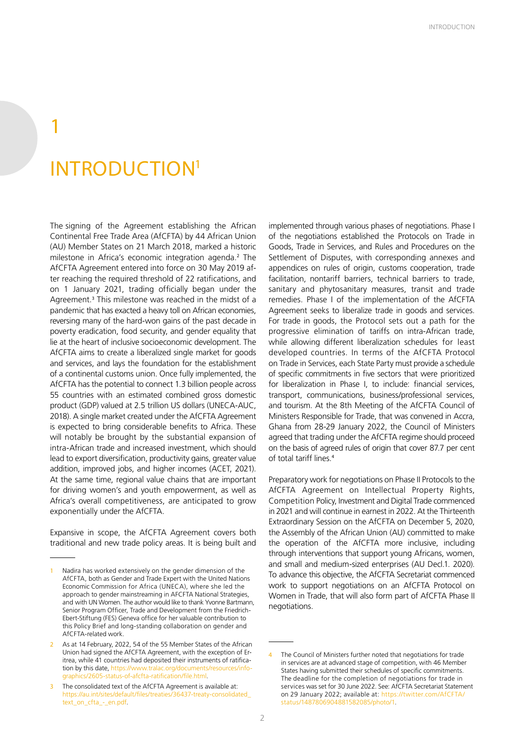# INTRODUCTION1

1

The signing of the Agreement establishing the African Continental Free Trade Area (AfCFTA) by 44 African Union (AU) Member States on 21 March 2018, marked a historic milestone in Africa's economic integration agenda.<sup>2</sup> The AfCFTA Agreement entered into force on 30 May 2019 after reaching the required threshold of 22 ratifications, and on 1 January 2021, trading officially began under the Agreement.<sup>3</sup> This milestone was reached in the midst of a pandemic that has exacted a heavy toll on African economies, reversing many of the hard-won gains of the past decade in poverty eradication, food security, and gender equality that lie at the heart of inclusive socioeconomic development. The AfCFTA aims to create a liberalized single market for goods and services, and lays the foundation for the establishment of a continental customs union. Once fully implemented, the AfCFTA has the potential to connect 1.3 billion people across 55 countries with an estimated combined gross domestic product (GDP) valued at 2.5 trillion US dollars (UNECA-AUC, 2018). A single market created under the AfCFTA Agreement is expected to bring considerable benefits to Africa. These will notably be brought by the substantial expansion of intra-African trade and increased investment, which should lead to export diversification, productivity gains, greater value addition, improved jobs, and higher incomes (ACET, 2021). At the same time, regional value chains that are important for driving women's and youth empowerment, as well as Africa's overall competitiveness, are anticipated to grow exponentially under the AfCFTA.

Expansive in scope, the AfCFTA Agreement covers both traditional and new trade policy areas. It is being built and

implemented through various phases of negotiations. Phase I of the negotiations established the Protocols on Trade in Goods, Trade in Services, and Rules and Procedures on the Settlement of Disputes, with corresponding annexes and appendices on rules of origin, customs cooperation, trade facilitation, nontariff barriers, technical barriers to trade, sanitary and phytosanitary measures, transit and trade remedies. Phase I of the implementation of the AfCFTA Agreement seeks to liberalize trade in goods and services. For trade in goods, the Protocol sets out a path for the progressive elimination of tariffs on intra-African trade, while allowing different liberalization schedules for least developed countries. In terms of the AfCFTA Protocol on Trade in Services, each State Party must provide a schedule of specific commitments in five sectors that were prioritized for liberalization in Phase I, to include: financial services, transport, communications, business/professional services, and tourism. At the 8th Meeting of the AfCFTA Council of Ministers Responsible for Trade, that was convened in Accra, Ghana from 28-29 January 2022, the Council of Ministers agreed that trading under the AfCFTA regime should proceed on the basis of agreed rules of origin that cover 87.7 per cent of total tariff lines.<sup>4</sup>

Preparatory work for negotiations on Phase II Protocols to the AfCFTA Agreement on Intellectual Property Rights, Competition Policy, Investment and Digital Trade commenced in 2021 and will continue in earnest in 2022. At the Thirteenth Extraordinary Session on the AfCFTA on December 5, 2020, the Assembly of the African Union (AU) committed to make the operation of the AfCFTA more inclusive, including through interventions that support young Africans, women, and small and medium-sized enterprises (AU Decl.1. 2020). To advance this objective, the AfCFTA Secretariat commenced work to support negotiations on an AfCFTA Protocol on Women in Trade, that will also form part of AfCFTA Phase II negotiations.

Nadira has worked extensively on the gender dimension of the AfCFTA, both as Gender and Trade Expert with the United Nations Economic Commission for Africa (UNECA), where she led the approach to gender mainstreaming in AFCFTA National Strategies, and with UN Women. The author would like to thank Yvonne Bartmann, Senior Program Officer, Trade and Development from the Friedrich-Ebert-Stiftung (FES) Geneva office for her valuable contribution to this Policy Brief and long-standing collaboration on gender and AfCFTA-related work.

As at 14 February, 2022, 54 of the 55 Member States of the African Union had signed the AfCFTA Agreement, with the exception of Eritrea, while 41 countries had deposited their instruments of ratification by this date, https://www.tralac.org/documents/resources/infographics/2605-status-of-afcfta-ratification/file.html.

The consolidated text of the AfCFTA Agreement is available at: https://au.int/sites/default/files/treaties/36437-treaty-consolidated\_ text\_on\_cfta\_-\_en.pdf.

<sup>4</sup> The Council of Ministers further noted that negotiations for trade in services are at advanced stage of competition, with 46 Member States having submitted their schedules of specific commitments. The deadline for the completion of negotiations for trade in services was set for 30 June 2022. See: AfCFTA Secretariat Statement on 29 January 2022; available at: https://twitter.com/AfCFTA/ status/1487806904881582085/photo/1.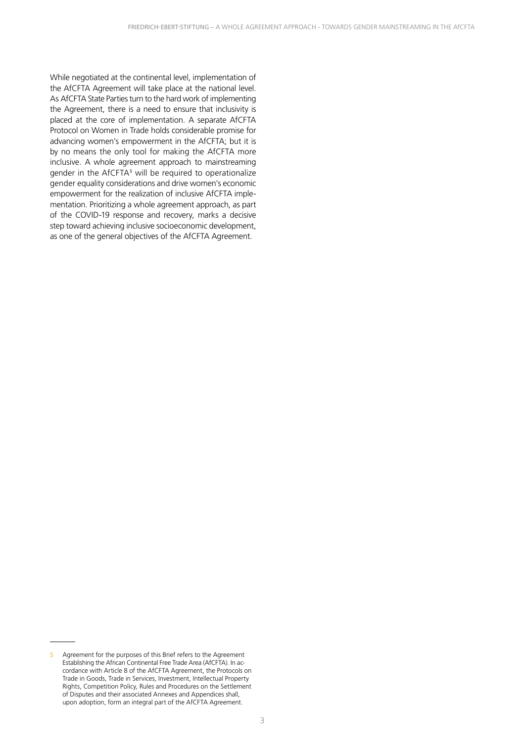While negotiated at the continental level, implementation of the AfCFTA Agreement will take place at the national level. As AfCFTA State Parties turn to the hard work of implementing the Agreement, there is a need to ensure that inclusivity is placed at the core of implementation. A separate AfCFTA Protocol on Women in Trade holds considerable promise for advancing women's empowerment in the AfCFTA; but it is by no means the only tool for making the AfCFTA more inclusive. A whole agreement approach to mainstreaming gender in the AfCFTA<sup>5</sup> will be required to operationalize gender equality considerations and drive women's economic empowerment for the realization of inclusive AfCFTA implementation. Prioritizing a whole agreement approach, as part of the COVID-19 response and recovery, marks a decisive step toward achieving inclusive socioeconomic development, as one of the general objectives of the AfCFTA Agreement.

<sup>5</sup> Agreement for the purposes of this Brief refers to the Agreement Establishing the African Continental Free Trade Area (AfCFTA). In accordance with Article 8 of the AfCFTA Agreement, the Protocols on Trade in Goods, Trade in Services, Investment, Intellectual Property Rights, Competition Policy, Rules and Procedures on the Settlement of Disputes and their associated Annexes and Appendices shall, upon adoption, form an integral part of the AfCFTA Agreement.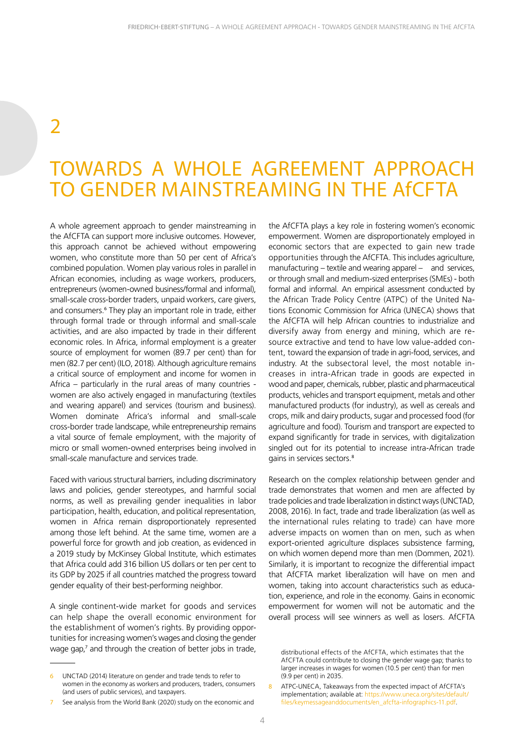## $\overline{\phantom{a}}$

## TOWARDS A WHOLE AGREEMENT APPROACH TO GENDER MAINSTREAMING IN THE AfCFTA

A whole agreement approach to gender mainstreaming in the AfCFTA can support more inclusive outcomes. However, this approach cannot be achieved without empowering women, who constitute more than 50 per cent of Africa's combined population. Women play various roles in parallel in African economies, including as wage workers, producers, entrepreneurs (women-owned business/formal and informal), small-scale cross-border traders, unpaid workers, care givers, and consumers.<sup>6</sup> They play an important role in trade, either through formal trade or through informal and small-scale activities, and are also impacted by trade in their different economic roles. In Africa, informal employment is a greater source of employment for women (89.7 per cent) than for men (82.7 per cent) (ILO, 2018). Although agriculture remains a critical source of employment and income for women in Africa – particularly in the rural areas of many countries women are also actively engaged in manufacturing (textiles and wearing apparel) and services (tourism and business). Women dominate Africa's informal and small-scale cross-border trade landscape, while entrepreneurship remains a vital source of female employment, with the majority of micro or small women-owned enterprises being involved in small-scale manufacture and services trade.

Faced with various structural barriers, including discriminatory laws and policies, gender stereotypes, and harmful social norms, as well as prevailing gender inequalities in labor participation, health, education, and political representation, women in Africa remain disproportionately represented among those left behind. At the same time, women are a powerful force for growth and job creation, as evidenced in a 2019 study by McKinsey Global Institute, which estimates that Africa could add 316 billion US dollars or ten per cent to its GDP by 2025 if all countries matched the progress toward gender equality of their best-performing neighbor.

A single continent-wide market for goods and services can help shape the overall economic environment for the establishment of women's rights. By providing opportunities for increasing women's wages and closing the gender wage gap,<sup>7</sup> and through the creation of better jobs in trade, the AfCFTA plays a key role in fostering women's economic empowerment. Women are disproportionately employed in economic sectors that are expected to gain new trade opportunities through the AfCFTA. This includes agriculture, manufacturing – textile and wearing apparel – and services, or through small and medium-sized enterprises (SMEs) - both formal and informal. An empirical assessment conducted by the African Trade Policy Centre (ATPC) of the United Nations Economic Commission for Africa (UNECA) shows that the AfCFTA will help African countries to industrialize and diversify away from energy and mining, which are resource extractive and tend to have low value-added content, toward the expansion of trade in agri-food, services, and industry. At the subsectoral level, the most notable increases in intra-African trade in goods are expected in wood and paper, chemicals, rubber, plastic and pharmaceutical products, vehicles and transport equipment, metals and other manufactured products (for industry), as well as cereals and crops, milk and dairy products, sugar and processed food (for agriculture and food). Tourism and transport are expected to expand significantly for trade in services, with digitalization singled out for its potential to increase intra-African trade gains in services sectors.<sup>8</sup>

Research on the complex relationship between gender and trade demonstrates that women and men are affected by trade policies and trade liberalization in distinct ways (UNCTAD, 2008, 2016). In fact, trade and trade liberalization (as well as the international rules relating to trade) can have more adverse impacts on women than on men, such as when export-oriented agriculture displaces subsistence farming, on which women depend more than men (Dommen, 2021). Similarly, it is important to recognize the differential impact that AfCFTA market liberalization will have on men and women, taking into account characteristics such as education, experience, and role in the economy. Gains in economic empowerment for women will not be automatic and the overall process will see winners as well as losers. AfCFTA

<sup>6</sup> UNCTAD (2014) literature on gender and trade tends to refer to women in the economy as workers and producers, traders, consumers (and users of public services), and taxpayers.

<sup>7</sup> See analysis from the World Bank (2020) study on the economic and

distributional effects of the AfCFTA, which estimates that the AfCFTA could contribute to closing the gender wage gap; thanks to larger increases in wages for women (10.5 per cent) than for men (9.9 per cent) in 2035.

<sup>8</sup> ATPC-UNECA, Takeaways from the expected impact of AfCFTA's implementation; available at: https://www.uneca.org/sites/default/ files/keymessageanddocuments/en\_afcfta-infographics-11.pdf.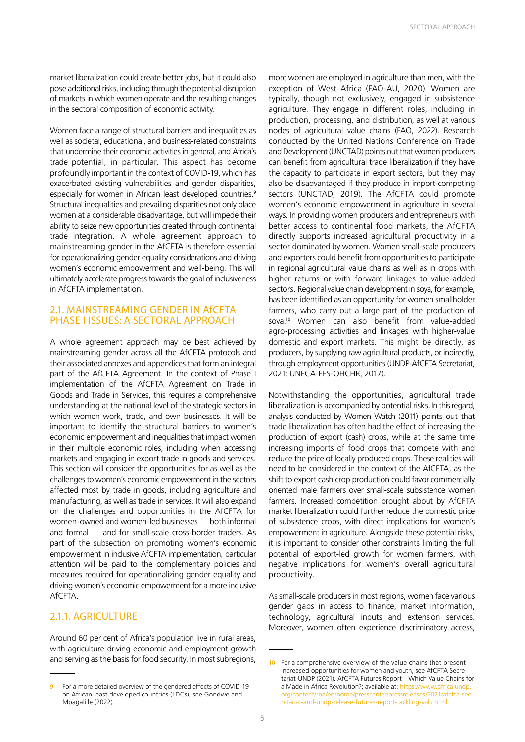market liberalization could create better jobs, but it could also pose additional risks, including through the potential disruption of markets in which women operate and the resulting changes in the sectoral composition of economic activity.

Women face a range of structural barriers and inequalities as well as societal, educational, and business-related constraints that undermine their economic activities in general, and Africa's trade potential, in particular. This aspect has become profoundly important in the context of COVID-19, which has exacerbated existing vulnerabilities and gender disparities, especially for women in African least developed countries.<sup>9</sup> Structural inequalities and prevailing disparities not only place women at a considerable disadvantage, but will impede their ability to seize new opportunities created through continental trade integration. A whole agreement approach to mainstreaming gender in the AfCFTA is therefore essential for operationalizing gender equality considerations and driving women's economic empowerment and well-being. This will ultimately accelerate progress towards the goal of inclusiveness in AfCFTA implementation.

#### 2.1. MAINSTREAMING GENDER IN AfCFTA PHASE I ISSUES: A SECTORAL APPROACH

A whole agreement approach may be best achieved by mainstreaming gender across all the AfCFTA protocols and their associated annexes and appendices that form an integral part of the AfCFTA Agreement. In the context of Phase I implementation of the AfCFTA Agreement on Trade in Goods and Trade in Services, this requires a comprehensive understanding at the national level of the strategic sectors in which women work, trade, and own businesses. It will be important to identify the structural barriers to women's economic empowerment and inequalities that impact women in their multiple economic roles, including when accessing markets and engaging in export trade in goods and services. This section will consider the opportunities for as well as the challenges to women's economic empowerment in the sectors affected most by trade in goods, including agriculture and manufacturing, as well as trade in services. It will also expand on the challenges and opportunities in the AfCFTA for women-owned and women-led businesses — both informal and formal — and for small-scale cross-border traders. As part of the subsection on promoting women's economic empowerment in inclusive AfCFTA implementation, particular attention will be paid to the complementary policies and measures required for operationalizing gender equality and driving women's economic empowerment for a more inclusive **AfCFTA** 

#### 2.1.1. AGRICULTURE

Around 60 per cent of Africa's population live in rural areas, with agriculture driving economic and employment growth and serving as the basis for food security. In most subregions,

more women are employed in agriculture than men, with the exception of West Africa (FAO-AU, 2020). Women are typically, though not exclusively, engaged in subsistence agriculture. They engage in different roles, including in production, processing, and distribution, as well at various nodes of agricultural value chains (FAO, 2022). Research conducted by the United Nations Conference on Trade and Development (UNCTAD) points out that women producers can benefit from agricultural trade liberalization if they have the capacity to participate in export sectors, but they may also be disadvantaged if they produce in import-competing sectors (UNCTAD, 2019). The AfCFTA could promote women's economic empowerment in agriculture in several ways. In providing women producers and entrepreneurs with better access to continental food markets, the AfCFTA directly supports increased agricultural productivity in a sector dominated by women. Women small-scale producers and exporters could benefit from opportunities to participate in regional agricultural value chains as well as in crops with higher returns or with forward linkages to value-added sectors. Regional value chain development in soya, for example, has been identified as an opportunity for women smallholder farmers, who carry out a large part of the production of soya.<sup>10</sup> Women can also benefit from value-added agro-processing activities and linkages with higher-value domestic and export markets. This might be directly, as producers, by supplying raw agricultural products, or indirectly, through employment opportunities (UNDP-AfCFTA Secretariat, 2021; UNECA-FES-OHCHR, 2017).

Notwithstanding the opportunities, agricultural trade liberalization is accompanied by potential risks. In this regard, analysis conducted by Women Watch (2011) points out that trade liberalization has often had the effect of increasing the production of export (cash) crops, while at the same time increasing imports of food crops that compete with and reduce the price of locally produced crops. These realities will need to be considered in the context of the AfCFTA, as the shift to export cash crop production could favor commercially oriented male farmers over small-scale subsistence women farmers. Increased competition brought about by AfCFTA market liberalization could further reduce the domestic price of subsistence crops, with direct implications for women's empowerment in agriculture. Alongside these potential risks, it is important to consider other constraints limiting the full potential of export-led growth for women farmers, with negative implications for women's overall agricultural productivity.

As small-scale producers in most regions, women face various gender gaps in access to finance, market information, technology, agricultural inputs and extension services. Moreover, women often experience discriminatory access,

<sup>9</sup> For a more detailed overview of the gendered effects of COVID-19 on African least developed countries (LDCs), see Gondwe and Mpagalille (2022).

<sup>10</sup> For a comprehensive overview of the value chains that present increased opportunities for women and youth, see AfCFTA Secretariat-UNDP (2021). AfCFTA Futures Report – Which Value Chains for a Made in Africa Revolution?; available at: https://www.africa.undp. org/content/rba/en/home/presscenter/pressreleases/2021/afcfta-secretariat-and-undp-release-futures-report-tackling-valu.html.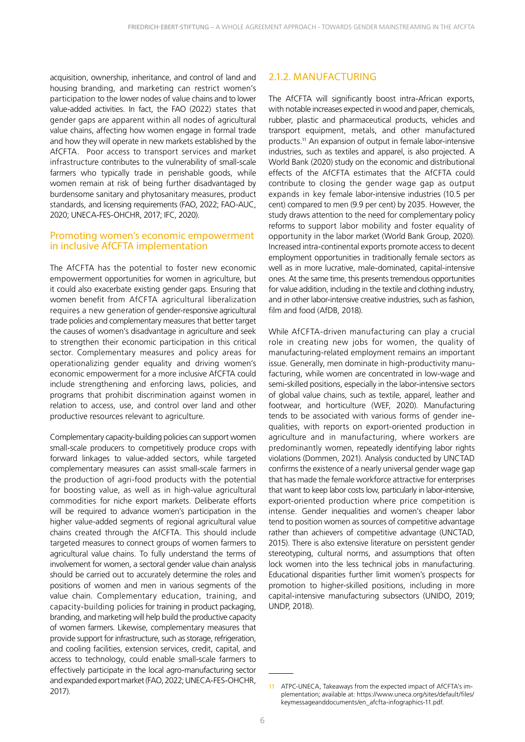acquisition, ownership, inheritance, and control of land and housing branding, and marketing can restrict women's participation to the lower nodes of value chains and to lower value-added activities. In fact, the FAO (2022) states that gender gaps are apparent within all nodes of agricultural value chains, affecting how women engage in formal trade and how they will operate in new markets established by the AfCFTA. Poor access to transport services and market infrastructure contributes to the vulnerability of small-scale farmers who typically trade in perishable goods, while women remain at risk of being further disadvantaged by burdensome sanitary and phytosanitary measures, product standards, and licensing requirements (FAO, 2022; FAO-AUC, 2020; UNECA-FES-OHCHR, 2017; IFC, 2020).

#### Promoting women's economic empowerment in inclusive AfCFTA implementation

The AfCFTA has the potential to foster new economic empowerment opportunities for women in agriculture, but it could also exacerbate existing gender gaps. Ensuring that women benefit from AfCFTA agricultural liberalization requires a new generation of gender-responsive agricultural trade policies and complementary measures that better target the causes of women's disadvantage in agriculture and seek to strengthen their economic participation in this critical sector. Complementary measures and policy areas for operationalizing gender equality and driving women's economic empowerment for a more inclusive AfCFTA could include strengthening and enforcing laws, policies, and programs that prohibit discrimination against women in relation to access, use, and control over land and other productive resources relevant to agriculture.

Complementary capacity-building policies can support women small-scale producers to competitively produce crops with forward linkages to value-added sectors, while targeted complementary measures can assist small-scale farmers in the production of agri-food products with the potential for boosting value, as well as in high-value agricultural commodities for niche export markets. Deliberate efforts will be required to advance women's participation in the higher value-added segments of regional agricultural value chains created through the AfCFTA. This should include targeted measures to connect groups of women farmers to agricultural value chains. To fully understand the terms of involvement for women, a sectoral gender value chain analysis should be carried out to accurately determine the roles and positions of women and men in various segments of the value chain. Complementary education, training, and capacity-building policies for training in product packaging, branding, and marketing will help build the productive capacity of women farmers. Likewise, complementary measures that provide support for infrastructure, such as storage, refrigeration, and cooling facilities, extension services, credit, capital, and access to technology, could enable small-scale farmers to effectively participate in the local agro-manufacturing sector and expanded export market (FAO, 2022; UNECA-FES-OHCHR, 2017).

#### 2.1.2. MANUFACTURING

The AfCFTA will significantly boost intra-African exports, with notable increases expected in wood and paper, chemicals, rubber, plastic and pharmaceutical products, vehicles and transport equipment, metals, and other manufactured products.<sup>11</sup> An expansion of output in female labor-intensive industries, such as textiles and apparel, is also projected. A World Bank (2020) study on the economic and distributional effects of the AfCFTA estimates that the AfCFTA could contribute to closing the gender wage gap as output expands in key female labor-intensive industries (10.5 per cent) compared to men (9.9 per cent) by 2035. However, the study draws attention to the need for complementary policy reforms to support labor mobility and foster equality of opportunity in the labor market (World Bank Group, 2020). Increased intra-continental exports promote access to decent employment opportunities in traditionally female sectors as well as in more lucrative, male-dominated, capital-intensive ones. At the same time, this presents tremendous opportunities for value addition, including in the textile and clothing industry, and in other labor-intensive creative industries, such as fashion, film and food (AfDB, 2018).

While AfCFTA-driven manufacturing can play a crucial role in creating new jobs for women, the quality of manufacturing-related employment remains an important issue. Generally, men dominate in high-productivity manufacturing, while women are concentrated in low-wage and semi-skilled positions, especially in the labor-intensive sectors of global value chains, such as textile, apparel, leather and footwear, and horticulture (WEF, 2020). Manufacturing tends to be associated with various forms of gender inequalities, with reports on export-oriented production in agriculture and in manufacturing, where workers are predominantly women, repeatedly identifying labor rights violations (Dommen, 2021). Analysis conducted by UNCTAD confirms the existence of a nearly universal gender wage gap that has made the female workforce attractive for enterprises that want to keep labor costs low, particularly in labor-intensive, export-oriented production where price competition is intense. Gender inequalities and women's cheaper labor tend to position women as sources of competitive advantage rather than achievers of competitive advantage (UNCTAD, 2015). There is also extensive literature on persistent gender stereotyping, cultural norms, and assumptions that often lock women into the less technical jobs in manufacturing. Educational disparities further limit women's prospects for promotion to higher-skilled positions, including in more capital-intensive manufacturing subsectors (UNIDO, 2019; UNDP, 2018).

<sup>11</sup> ATPC-UNECA, Takeaways from the expected impact of AfCFTA's implementation; available at: https://www.uneca.org/sites/default/files/ keymessageanddocuments/en\_afcfta-infographics-11.pdf.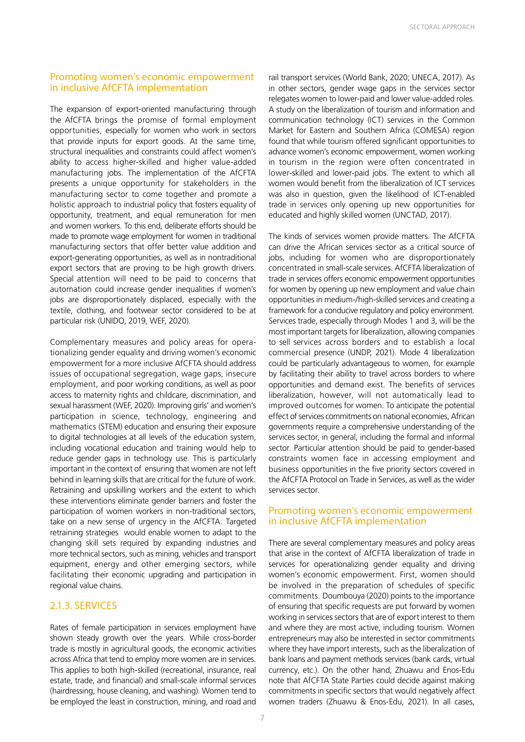#### Promoting women's economic empowerment in inclusive AfCFTA implementation

The expansion of export-oriented manufacturing through the AfCFTA brings the promise of formal employment opportunities, especially for women who work in sectors that provide inputs for export goods. At the same time, structural inequalities and constraints could affect women's ability to access higher-skilled and higher value-added manufacturing jobs. The implementation of the AfCFTA presents a unique opportunity for stakeholders in the manufacturing sector to come together and promote a holistic approach to industrial policy that fosters equality of opportunity, treatment, and equal remuneration for men and women workers. To this end, deliberate efforts should be made to promote wage employment for women in traditional manufacturing sectors that offer better value addition and export-generating opportunities, as well as in nontraditional export sectors that are proving to be high growth drivers. Special attention will need to be paid to concerns that automation could increase gender inequalities if women's jobs are disproportionately displaced, especially with the textile, clothing, and footwear sector considered to be at particular risk (UNIDO, 2019, WEF, 2020).

Complementary measures and policy areas for operationalizing gender equality and driving women's economic empowerment for a more inclusive AfCFTA should address issues of occupational segregation, wage gaps, insecure employment, and poor working conditions, as well as poor access to maternity rights and childcare, discrimination, and sexual harassment (WEF, 2020). Improving girls' and women's participation in science, technology, engineering and mathematics (STEM) education and ensuring their exposure to digital technologies at all levels of the education system, including vocational education and training would help to reduce gender gaps in technology use. This is particularly important in the context of ensuring that women are not left behind in learning skills that are critical for the future of work. Retraining and upskilling workers and the extent to which these interventions eliminate gender barriers and foster the participation of women workers in non-traditional sectors, take on a new sense of urgency in the AfCFTA. Targeted retraining strategies would enable women to adapt to the changing skill sets required by expanding industries and more technical sectors, such as mining, vehicles and transport equipment, energy and other emerging sectors, while facilitating their economic upgrading and participation in regional value chains.

#### 2.1.3. SERVICES

Rates of female participation in services employment have shown steady growth over the years. While cross-border trade is mostly in agricultural goods, the economic activities across Africa that tend to employ more women are in services. This applies to both high-skilled (recreational, insurance, real estate, trade, and financial) and small-scale informal services (hairdressing, house cleaning, and washing). Women tend to be employed the least in construction, mining, and road and

rail transport services (World Bank, 2020; UNECA, 2017). As in other sectors, gender wage gaps in the services sector relegates women to lower-paid and lower value-added roles. A study on the liberalization of tourism and information and communication technology (ICT) services in the Common Market for Eastern and Southern Africa (COMESA) region found that while tourism offered significant opportunities to advance women's economic empowerment, women working in tourism in the region were often concentrated in lower-skilled and lower-paid jobs. The extent to which all women would benefit from the liberalization of ICT services was also in question, given the likelihood of ICT-enabled trade in services only opening up new opportunities for educated and highly skilled women (UNCTAD, 2017).

The kinds of services women provide matters. The AfCFTA can drive the African services sector as a critical source of jobs, including for women who are disproportionately concentrated in small-scale services. AfCFTA liberalization of trade in services offers economic empowerment opportunities for women by opening up new employment and value chain opportunities in medium-/high-skilled services and creating a framework for a conducive regulatory and policy environment. Services trade, especially through Modes 1 and 3, will be the most important targets for liberalization, allowing companies to sell services across borders and to establish a local commercial presence (UNDP, 2021). Mode 4 liberalization could be particularly advantageous to women, for example by facilitating their ability to travel across borders to where opportunities and demand exist. The benefits of services liberalization, however, will not automatically lead to improved outcomes for women. To anticipate the potential effect of services commitments on national economies, African governments require a comprehensive understanding of the services sector, in general, including the formal and informal sector. Particular attention should be paid to gender-based constraints women face in accessing employment and business opportunities in the five priority sectors covered in the AfCFTA Protocol on Trade in Services, as well as the wider services sector.

#### Promoting women's economic empowerment in inclusive AfCFTA implementation

There are several complementary measures and policy areas that arise in the context of AfCFTA liberalization of trade in services for operationalizing gender equality and driving women's economic empowerment. First, women should be involved in the preparation of schedules of specific commitments. Doumbouya (2020) points to the importance of ensuring that specific requests are put forward by women working in services sectors that are of export interest to them and where they are most active, including tourism. Women entrepreneurs may also be interested in sector commitments where they have import interests, such as the liberalization of bank loans and payment methods services (bank cards, virtual currency, etc.). On the other hand, Zhuawu and Enos-Edu note that AfCFTA State Parties could decide against making commitments in specific sectors that would negatively affect women traders (Zhuawu & Enos-Edu, 2021). In all cases,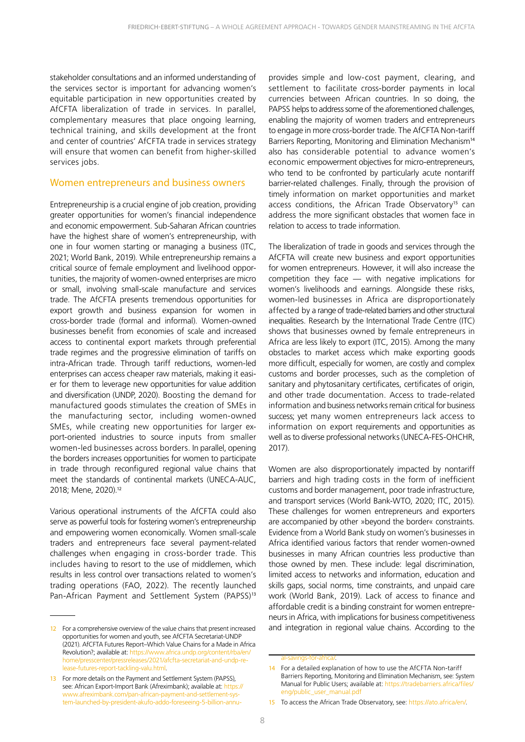stakeholder consultations and an informed understanding of the services sector is important for advancing women's equitable participation in new opportunities created by AfCFTA liberalization of trade in services. In parallel, complementary measures that place ongoing learning, technical training, and skills development at the front and center of countries' AfCFTA trade in services strategy will ensure that women can benefit from higher-skilled services jobs.

#### Women entrepreneurs and business owners

Entrepreneurship is a crucial engine of job creation, providing greater opportunities for women's financial independence and economic empowerment. Sub-Saharan African countries have the highest share of women's entrepreneurship, with one in four women starting or managing a business (ITC, 2021; World Bank, 2019). While entrepreneurship remains a critical source of female employment and livelihood opportunities, the majority of women-owned enterprises are micro or small, involving small-scale manufacture and services trade. The AfCFTA presents tremendous opportunities for export growth and business expansion for women in cross-border trade (formal and informal). Women-owned businesses benefit from economies of scale and increased access to continental export markets through preferential trade regimes and the progressive elimination of tariffs on intra-African trade. Through tariff reductions, women-led enterprises can access cheaper raw materials, making it easier for them to leverage new opportunities for value addition and diversification (UNDP, 2020). Boosting the demand for manufactured goods stimulates the creation of SMEs in the manufacturing sector, including women-owned SMEs, while creating new opportunities for larger export-oriented industries to source inputs from smaller women-led businesses across borders. In parallel, opening the borders increases opportunities for women to participate in trade through reconfigured regional value chains that meet the standards of continental markets (UNECA-AUC, 2018; Mene, 2020).<sup>12</sup>

Various operational instruments of the AfCFTA could also serve as powerful tools for fostering women's entrepreneurship and empowering women economically. Women small-scale traders and entrepreneurs face several payment-related challenges when engaging in cross-border trade. This includes having to resort to the use of middlemen, which results in less control over transactions related to women's trading operations (FAO, 2022). The recently launched Pan-African Payment and Settlement System (PAPSS)<sup>13</sup>

provides simple and low-cost payment, clearing, and settlement to facilitate cross-border payments in local currencies between African countries. In so doing, the PAPSS helps to address some of the aforementioned challenges, enabling the majority of women traders and entrepreneurs to engage in more cross-border trade. The AfCFTA Non-tariff Barriers Reporting, Monitoring and Elimination Mechanism<sup>14</sup> also has considerable potential to advance women's economic empowerment objectives for micro-entrepreneurs, who tend to be confronted by particularly acute nontariff barrier-related challenges. Finally, through the provision of timely information on market opportunities and market access conditions, the African Trade Observatory<sup>15</sup> can address the more significant obstacles that women face in relation to access to trade information.

The liberalization of trade in goods and services through the AfCFTA will create new business and export opportunities for women entrepreneurs. However, it will also increase the competition they face — with negative implications for women's livelihoods and earnings. Alongside these risks, women-led businesses in Africa are disproportionately affected by a range of trade-related barriers and other structural inequalities. Research by the International Trade Centre (ITC) shows that businesses owned by female entrepreneurs in Africa are less likely to export (ITC, 2015). Among the many obstacles to market access which make exporting goods more difficult, especially for women, are costly and complex customs and border processes, such as the completion of sanitary and phytosanitary certificates, certificates of origin, and other trade documentation. Access to trade-related information and business networks remain critical for business success; yet many women entrepreneurs lack access to information on export requirements and opportunities as well as to diverse professional networks (UNECA-FES-OHCHR, 2017).

Women are also disproportionately impacted by nontariff barriers and high trading costs in the form of inefficient customs and border management, poor trade infrastructure, and transport services (World Bank-WTO, 2020; ITC, 2015). These challenges for women entrepreneurs and exporters are accompanied by other »beyond the border« constraints. Evidence from a World Bank study on women's businesses in Africa identified various factors that render women-owned businesses in many African countries less productive than those owned by men. These include: legal discrimination, limited access to networks and information, education and skills gaps, social norms, time constraints, and unpaid care work (World Bank, 2019). Lack of access to finance and affordable credit is a binding constraint for women entrepreneurs in Africa, with implications for business competitiveness and integration in regional value chains. According to the

<sup>12</sup> For a comprehensive overview of the value chains that present increased opportunities for women and youth, see AfCFTA Secretariat-UNDP (2021). AfCFTA Futures Report–Which Value Chains for a Made in Africa Revolution?; available at: https://www.africa.undp.org/content/rba/e home/presscenter/pressreleases/2021/afcfta-secretariat-and-undp-release-futures-report-tackling-valu.html.

<sup>13</sup> For more details on the Payment and Settlement System (PAPSS), see: African Export-Import Bank (Afreximbank); available at: https:// www.afreximbank.com/pan-african-payment-and-settlement-system-launched-by-president-akufo-addo-foreseeing-5-billion-annu-

al-savings-for-africa/.

<sup>14</sup> For a detailed explanation of how to use the AfCFTA Non-tariff Barriers Reporting, Monitoring and Elimination Mechanism, see: System Manual for Public Users; available at: https://tradebarriers.africa/files/ eng/public\_user\_manual.pdf

<sup>15</sup> To access the African Trade Observatory, see: https://ato.africa/en/.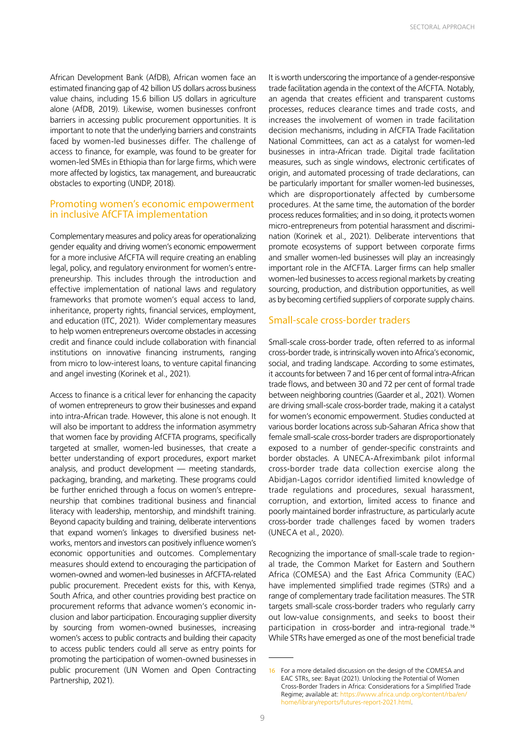African Development Bank (AfDB), African women face an estimated financing gap of 42 billion US dollars across business value chains, including 15.6 billion US dollars in agriculture alone (AfDB, 2019). Likewise, women businesses confront barriers in accessing public procurement opportunities. It is important to note that the underlying barriers and constraints faced by women-led businesses differ. The challenge of access to finance, for example, was found to be greater for women-led SMEs in Ethiopia than for large firms, which were more affected by logistics, tax management, and bureaucratic obstacles to exporting (UNDP, 2018).

#### Promoting women's economic empowerment in inclusive AfCFTA implementation

Complementary measures and policy areas for operationalizing gender equality and driving women's economic empowerment for a more inclusive AfCFTA will require creating an enabling legal, policy, and regulatory environment for women's entrepreneurship. This includes through the introduction and effective implementation of national laws and regulatory frameworks that promote women's equal access to land, inheritance, property rights, financial services, employment, and education (ITC, 2021). Wider complementary measures to help women entrepreneurs overcome obstacles in accessing credit and finance could include collaboration with financial institutions on innovative financing instruments, ranging from micro to low-interest loans, to venture capital financing and angel investing (Korinek et al., 2021).

Access to finance is a critical lever for enhancing the capacity of women entrepreneurs to grow their businesses and expand into intra-African trade. However, this alone is not enough. It will also be important to address the information asymmetry that women face by providing AfCFTA programs, specifically targeted at smaller, women-led businesses, that create a better understanding of export procedures, export market analysis, and product development — meeting standards, packaging, branding, and marketing. These programs could be further enriched through a focus on women's entrepreneurship that combines traditional business and financial literacy with leadership, mentorship, and mindshift training. Beyond capacity building and training, deliberate interventions that expand women's linkages to diversified business networks, mentors and investors can positively influence women's economic opportunities and outcomes. Complementary measures should extend to encouraging the participation of women-owned and women-led businesses in AfCFTA-related public procurement. Precedent exists for this, with Kenya, South Africa, and other countries providing best practice on procurement reforms that advance women's economic inclusion and labor participation. Encouraging supplier diversity by sourcing from women-owned businesses, increasing women's access to public contracts and building their capacity to access public tenders could all serve as entry points for promoting the participation of women-owned businesses in public procurement (UN Women and Open Contracting Partnership, 2021).

It is worth underscoring the importance of a gender-responsive trade facilitation agenda in the context of the AfCFTA. Notably, an agenda that creates efficient and transparent customs processes, reduces clearance times and trade costs, and increases the involvement of women in trade facilitation decision mechanisms, including in AfCFTA Trade Facilitation National Committees, can act as a catalyst for women-led businesses in intra-African trade. Digital trade facilitation measures, such as single windows, electronic certificates of origin, and automated processing of trade declarations, can be particularly important for smaller women-led businesses, which are disproportionately affected by cumbersome procedures. At the same time, the automation of the border process reduces formalities; and in so doing, it protects women micro-entrepreneurs from potential harassment and discrimination (Korinek et al., 2021). Deliberate interventions that promote ecosystems of support between corporate firms and smaller women-led businesses will play an increasingly important role in the AfCFTA. Larger firms can help smaller women-led businesses to access regional markets by creating sourcing, production, and distribution opportunities, as well as by becoming certified suppliers of corporate supply chains.

#### Small-scale cross-border traders

Small-scale cross-border trade, often referred to as informal cross-border trade, is intrinsically woven into Africa's economic, social, and trading landscape. According to some estimates, it accounts for between 7 and 16 per cent of formal intra-African trade flows, and between 30 and 72 per cent of formal trade between neighboring countries (Gaarder et al., 2021). Women are driving small-scale cross-border trade, making it a catalyst for women's economic empowerment. Studies conducted at various border locations across sub-Saharan Africa show that female small-scale cross-border traders are disproportionately exposed to a number of gender-specific constraints and border obstacles. A UNECA-Afreximbank pilot informal cross-border trade data collection exercise along the Abidjan-Lagos corridor identified limited knowledge of trade regulations and procedures, sexual harassment, corruption, and extortion, limited access to finance and poorly maintained border infrastructure, as particularly acute cross-border trade challenges faced by women traders (UNECA et al., 2020).

Recognizing the importance of small-scale trade to regional trade, the Common Market for Eastern and Southern Africa (COMESA) and the East Africa Community (EAC) have implemented simplified trade regimes (STRs) and a range of complementary trade facilitation measures. The STR targets small-scale cross-border traders who regularly carry out low-value consignments, and seeks to boost their participation in cross-border and intra-regional trade.<sup>16</sup> While STRs have emerged as one of the most beneficial trade

<sup>16</sup> For a more detailed discussion on the design of the COMESA and EAC STRs, see: Bayat (2021). Unlocking the Potential of Women Cross-Border Traders in Africa: Considerations for a Simplified Trade Regime; available at: https://www.africa.undp.org/content/rba/en/ home/library/reports/futures-report-2021.html.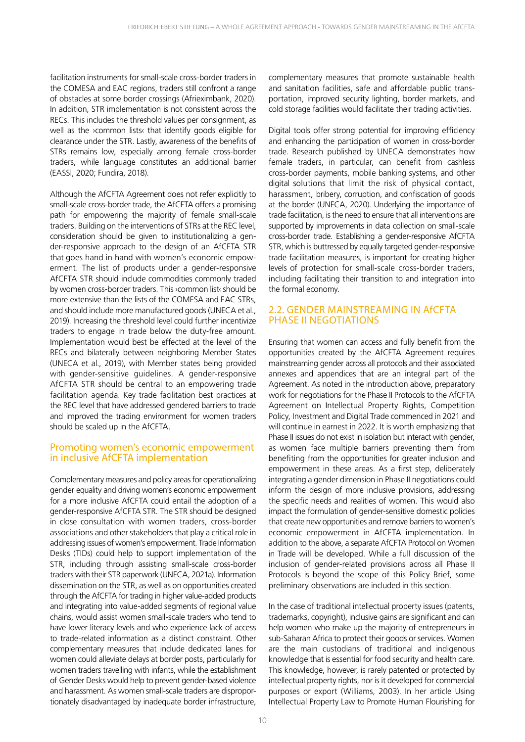facilitation instruments for small-scale cross-border traders in the COMESA and EAC regions, traders still confront a range of obstacles at some border crossings (Afrieximbank, 2020). In addition, STR implementation is not consistent across the RECs. This includes the threshold values per consignment, as well as the ›common lists‹ that identify goods eligible for clearance under the STR. Lastly, awareness of the benefits of STRs remains low, especially among female cross-border traders, while language constitutes an additional barrier (EASSI, 2020; Fundira, 2018).

Although the AfCFTA Agreement does not refer explicitly to small-scale cross-border trade, the AfCFTA offers a promising path for empowering the majority of female small-scale traders. Building on the interventions of STRs at the REC level, consideration should be given to institutionalizing a gender-responsive approach to the design of an AfCFTA STR that goes hand in hand with women's economic empowerment. The list of products under a gender-responsive AfCFTA STR should include commodities commonly traded by women cross-border traders. This ›common list‹ should be more extensive than the lists of the COMESA and EAC STRs, and should include more manufactured goods (UNECA et al., 2019). Increasing the threshold level could further incentivize traders to engage in trade below the duty-free amount. Implementation would best be effected at the level of the RECs and bilaterally between neighboring Member States (UNECA et al., 2019), with Member states being provided with gender-sensitive guidelines. A gender-responsive AfCFTA STR should be central to an empowering trade facilitation agenda. Key trade facilitation best practices at the REC level that have addressed gendered barriers to trade and improved the trading environment for women traders should be scaled up in the AfCFTA.

#### Promoting women's economic empowerment in inclusive AfCFTA implementation

Complementary measures and policy areas for operationalizing gender equality and driving women's economic empowerment for a more inclusive AfCFTA could entail the adoption of a gender-responsive AfCFTA STR. The STR should be designed in close consultation with women traders, cross-border associations and other stakeholders that play a critical role in addressing issues of women's empowerment. Trade Information Desks (TIDs) could help to support implementation of the STR, including through assisting small-scale cross-border traders with their STR paperwork (UNECA, 2021a). Information dissemination on the STR, as well as on opportunities created through the AfCFTA for trading in higher value-added products and integrating into value-added segments of regional value chains, would assist women small-scale traders who tend to have lower literacy levels and who experience lack of access to trade-related information as a distinct constraint. Other complementary measures that include dedicated lanes for women could alleviate delays at border posts, particularly for women traders travelling with infants, while the establishment of Gender Desks would help to prevent gender-based violence and harassment. As women small-scale traders are disproportionately disadvantaged by inadequate border infrastructure,

complementary measures that promote sustainable health and sanitation facilities, safe and affordable public transportation, improved security lighting, border markets, and cold storage facilities would facilitate their trading activities.

Digital tools offer strong potential for improving efficiency and enhancing the participation of women in cross-border trade. Research published by UNECA demonstrates how female traders, in particular, can benefit from cashless cross-border payments, mobile banking systems, and other digital solutions that limit the risk of physical contact, harassment, bribery, corruption, and confiscation of goods at the border (UNECA, 2020). Underlying the importance of trade facilitation, is the need to ensure that all interventions are supported by improvements in data collection on small-scale cross-border trade. Establishing a gender-responsive AfCFTA STR, which is buttressed by equally targeted gender-responsive trade facilitation measures, is important for creating higher levels of protection for small-scale cross-border traders, including facilitating their transition to and integration into the formal economy.

#### 2.2. GENDER MAINSTREAMING IN AfCFTA PHASE II NEGOTIATIONS

Ensuring that women can access and fully benefit from the opportunities created by the AfCFTA Agreement requires mainstreaming gender across all protocols and their associated annexes and appendices that are an integral part of the Agreement. As noted in the introduction above, preparatory work for negotiations for the Phase II Protocols to the AfCFTA Agreement on Intellectual Property Rights, Competition Policy, Investment and Digital Trade commenced in 2021 and will continue in earnest in 2022. It is worth emphasizing that Phase II issues do not exist in isolation but interact with gender, as women face multiple barriers preventing them from benefiting from the opportunities for greater inclusion and empowerment in these areas. As a first step, deliberately integrating a gender dimension in Phase II negotiations could inform the design of more inclusive provisions, addressing the specific needs and realities of women. This would also impact the formulation of gender-sensitive domestic policies that create new opportunities and remove barriers to women's economic empowerment in AfCFTA implementation. In addition to the above, a separate AfCFTA Protocol on Women in Trade will be developed. While a full discussion of the inclusion of gender-related provisions across all Phase II Protocols is beyond the scope of this Policy Brief, some preliminary observations are included in this section.

In the case of traditional intellectual property issues (patents, trademarks, copyright), inclusive gains are significant and can help women who make up the majority of entrepreneurs in sub-Saharan Africa to protect their goods or services. Women are the main custodians of traditional and indigenous knowledge that is essential for food security and health care. This knowledge, however, is rarely patented or protected by intellectual property rights, nor is it developed for commercial purposes or export (Williams, 2003). In her article Using Intellectual Property Law to Promote Human Flourishing for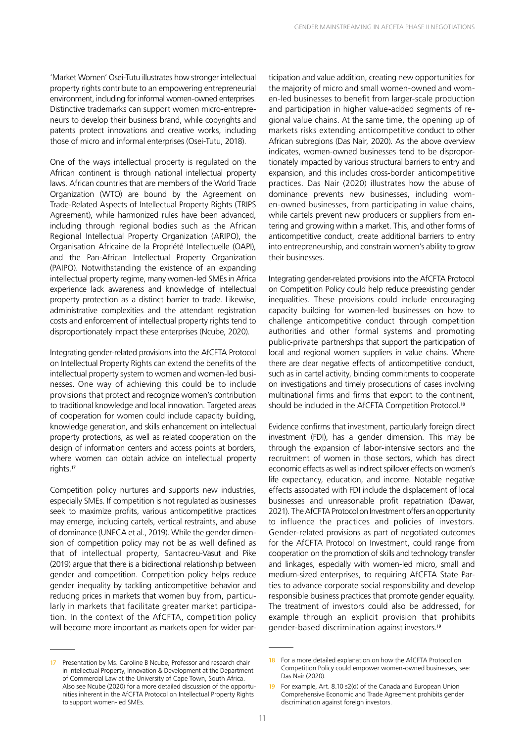'Market Women' Osei-Tutu illustrates how stronger intellectual property rights contribute to an empowering entrepreneurial environment, including for informal women-owned enterprises. Distinctive trademarks can support women micro-entrepreneurs to develop their business brand, while copyrights and patents protect innovations and creative works, including those of micro and informal enterprises (Osei-Tutu, 2018).

One of the ways intellectual property is regulated on the African continent is through national intellectual property laws. African countries that are members of the World Trade Organization (WTO) are bound by the Agreement on Trade-Related Aspects of Intellectual Property Rights (TRIPS Agreement), while harmonized rules have been advanced, including through regional bodies such as the African Regional Intellectual Property Organization (ARIPO), the Organisation Africaine de la Propriété Intellectuelle (OAPI), and the Pan-African Intellectual Property Organization (PAIPO). Notwithstanding the existence of an expanding intellectual property regime, many women-led SMEs in Africa experience lack awareness and knowledge of intellectual property protection as a distinct barrier to trade. Likewise, administrative complexities and the attendant registration costs and enforcement of intellectual property rights tend to disproportionately impact these enterprises (Ncube, 2020).

Integrating gender-related provisions into the AfCFTA Protocol on Intellectual Property Rights can extend the benefits of the intellectual property system to women and women-led businesses. One way of achieving this could be to include provisions that protect and recognize women's contribution to traditional knowledge and local innovation. Targeted areas of cooperation for women could include capacity building, knowledge generation, and skills enhancement on intellectual property protections, as well as related cooperation on the design of information centers and access points at borders, where women can obtain advice on intellectual property rights.<sup>17</sup>

Competition policy nurtures and supports new industries, especially SMEs. If competition is not regulated as businesses seek to maximize profits, various anticompetitive practices may emerge, including cartels, vertical restraints, and abuse of dominance (UNECA et al., 2019). While the gender dimension of competition policy may not be as well defined as that of intellectual property, Santacreu-Vasut and Pike (2019) argue that there is a bidirectional relationship between gender and competition. Competition policy helps reduce gender inequality by tackling anticompetitive behavior and reducing prices in markets that women buy from, particularly in markets that facilitate greater market participation. In the context of the AfCFTA, competition policy will become more important as markets open for wider par-

17 Presentation by Ms. Caroline B Ncube, Professor and research chair in Intellectual Property, Innovation & Development at the Department of Commercial Law at the University of Cape Town, South Africa. Also see Ncube (2020) for a more detailed discussion of the opportunities inherent in the AfCFTA Protocol on Intellectual Property Rights to support women-led SMEs.

ticipation and value addition, creating new opportunities for the majority of micro and small women-owned and women-led businesses to benefit from larger-scale production and participation in higher value-added segments of regional value chains. At the same time, the opening up of markets risks extending anticompetitive conduct to other African subregions (Das Nair, 2020). As the above overview indicates, women-owned businesses tend to be disproportionately impacted by various structural barriers to entry and expansion, and this includes cross-border anticompetitive practices. Das Nair (2020) illustrates how the abuse of dominance prevents new businesses, including women-owned businesses, from participating in value chains, while cartels prevent new producers or suppliers from entering and growing within a market. This, and other forms of anticompetitive conduct, create additional barriers to entry into entrepreneurship, and constrain women's ability to grow their businesses.

Integrating gender-related provisions into the AfCFTA Protocol on Competition Policy could help reduce preexisting gender inequalities. These provisions could include encouraging capacity building for women-led businesses on how to challenge anticompetitive conduct through competition authorities and other formal systems and promoting public-private partnerships that support the participation of local and regional women suppliers in value chains. Where there are clear negative effects of anticompetitive conduct, such as in cartel activity, binding commitments to cooperate on investigations and timely prosecutions of cases involving multinational firms and firms that export to the continent, should be included in the AfCFTA Competition Protocol.<sup>18</sup>

Evidence confirms that investment, particularly foreign direct investment (FDI), has a gender dimension. This may be through the expansion of labor-intensive sectors and the recruitment of women in those sectors, which has direct economic effects as well as indirect spillover effects on women's life expectancy, education, and income. Notable negative effects associated with FDI include the displacement of local businesses and unreasonable profit repatriation (Dawar, 2021). The AfCFTA Protocol on Investment offers an opportunity to influence the practices and policies of investors. Gender-related provisions as part of negotiated outcomes for the AfCFTA Protocol on Investment, could range from cooperation on the promotion of skills and technology transfer and linkages, especially with women-led micro, small and medium-sized enterprises, to requiring AfCFTA State Parties to advance corporate social responsibility and develop responsible business practices that promote gender equality. The treatment of investors could also be addressed, for example through an explicit provision that prohibits gender-based discrimination against investors.<sup>19</sup>

<sup>18</sup> For a more detailed explanation on how the AfCFTA Protocol on Competition Policy could empower women-owned businesses, see: Das Nair (2020).

<sup>19</sup> For example, Art. 8.10 s2(d) of the Canada and European Union Comprehensive Economic and Trade Agreement prohibits gender discrimination against foreign investors.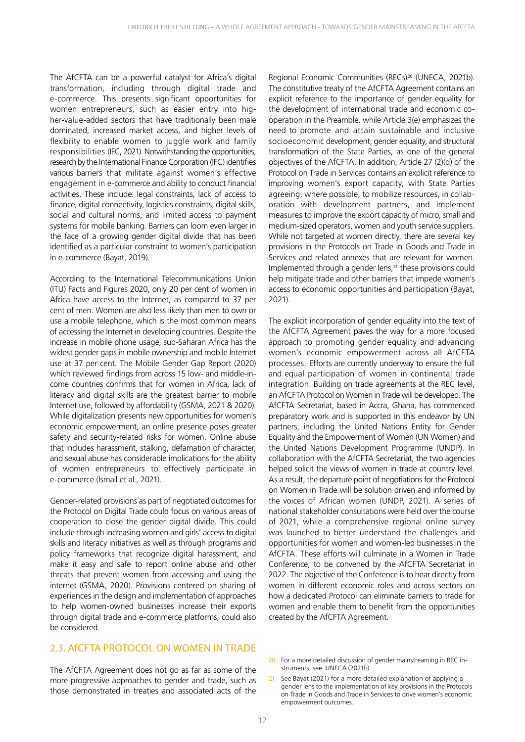The AfCFTA can be a powerful catalyst for Africa's digital transformation, including through digital trade and e-commerce. This presents significant opportunities for women entrepreneurs, such as easier entry into higher-value-added sectors that have traditionally been male dominated, increased market access, and higher levels of flexibility to enable women to juggle work and family responsibilities (IFC, 2021). Notwithstanding the opportunities, research by the International Finance Corporation (IFC) identifies various barriers that militate against women's effective engagement in e-commerce and ability to conduct financial activities. These include: legal constraints, lack of access to finance, digital connectivity, logistics constraints, digital skills, social and cultural norms, and limited access to payment systems for mobile banking. Barriers can loom even larger in the face of a growing gender digital divide that has been identified as a particular constraint to women's participation in e-commerce (Bayat, 2019).

According to the International Telecommunications Union (ITU) Facts and Figures 2020, only 20 per cent of women in Africa have access to the Internet, as compared to 37 per cent of men. Women are also less likely than men to own or use a mobile telephone, which is the most common means of accessing the Internet in developing countries. Despite the increase in mobile phone usage, sub-Saharan Africa has the widest gender gaps in mobile ownership and mobile Internet use at 37 per cent. The Mobile Gender Gap Report (2020) which reviewed findings from across 15 low- and middle-income countries confirms that for women in Africa, lack of literacy and digital skills are the greatest barrier to mobile Internet use, followed by affordability (GSMA, 2021 & 2020). While digitalization presents new opportunities for women's economic empowerment, an online presence poses greater safety and security-related risks for women. Online abuse that includes harassment, stalking, defamation of character, and sexual abuse has considerable implications for the ability of women entrepreneurs to effectively participate in e-commerce (Ismail et al., 2021).

Gender-related provisions as part of negotiated outcomes for the Protocol on Digital Trade could focus on various areas of cooperation to close the gender digital divide. This could include through increasing women and girls' access to digital skills and literacy initiatives as well as through programs and policy frameworks that recognize digital harassment, and make it easy and safe to report online abuse and other threats that prevent women from accessing and using the internet (GSMA, 2020). Provisions centered on sharing of experiences in the design and implementation of approaches to help women-owned businesses increase their exports through digital trade and e-commerce platforms, could also be considered.

#### 2.3. AfCFTA PROTOCOL ON WOMEN IN TRADE

The AfCFTA Agreement does not go as far as some of the more progressive approaches to gender and trade, such as those demonstrated in treaties and associated acts of the

Regional Economic Communities (RECs)<sup>20</sup> (UNECA, 2021b). The constitutive treaty of the AfCFTA Agreement contains an explicit reference to the importance of gender equality for the development of international trade and economic cooperation in the Preamble, while Article 3(e) emphasizes the need to promote and attain sustainable and inclusive socioeconomic development, gender equality, and structural transformation of the State Parties, as one of the general objectives of the AfCFTA. In addition, Article 27 (2)(d) of the Protocol on Trade in Services contains an explicit reference to improving women's export capacity, with State Parties agreeing, where possible, to mobilize resources, in collaboration with development partners, and implement measures to improve the export capacity of micro, small and medium-sized operators, women and youth service suppliers. While not targeted at women directly, there are several key provisions in the Protocols on Trade in Goods and Trade in Services and related annexes that are relevant for women. Implemented through a gender lens,<sup>21</sup> these provisions could help mitigate trade and other barriers that impede women's access to economic opportunities and participation (Bayat, 2021).

The explicit incorporation of gender equality into the text of the AfCFTA Agreement paves the way for a more focused approach to promoting gender equality and advancing women's economic empowerment across all AfCFTA processes. Efforts are currently underway to ensure the full and equal participation of women in continental trade integration. Building on trade agreements at the REC level, an AfCFTA Protocol on Women in Trade will be developed. The AfCFTA Secretariat, based in Accra, Ghana, has commenced preparatory work and is supported in this endeavor by UN partners, including the United Nations Entity for Gender Equality and the Empowerment of Women (UN Women) and the United Nations Development Programme (UNDP). In collaboration with the AfCFTA Secretariat, the two agencies helped solicit the views of women in trade at country level. As a result, the departure point of negotiations for the Protocol on Women in Trade will be solution driven and informed by the voices of African women (UNDP, 2021). A series of national stakeholder consultations were held over the course of 2021, while a comprehensive regional online survey was launched to better understand the challenges and opportunities for women and women-led businesses in the AfCFTA. These efforts will culminate in a Women in Trade Conference, to be convened by the AfCFTA Secretariat in 2022. The objective of the Conference is to hear directly from women in different economic roles and across sectors on how a dedicated Protocol can eliminate barriers to trade for women and enable them to benefit from the opportunities created by the AfCFTA Agreement.

- 20 For a more detailed discussion of gender mainstreaming in REC instruments, see: UNECA (2021b).
- 21 See Bayat (2021) for a more detailed explanation of applying a gender lens to the implementation of key provisions in the Protocols on Trade in Goods and Trade in Services to drive women's economic empowerment outcomes.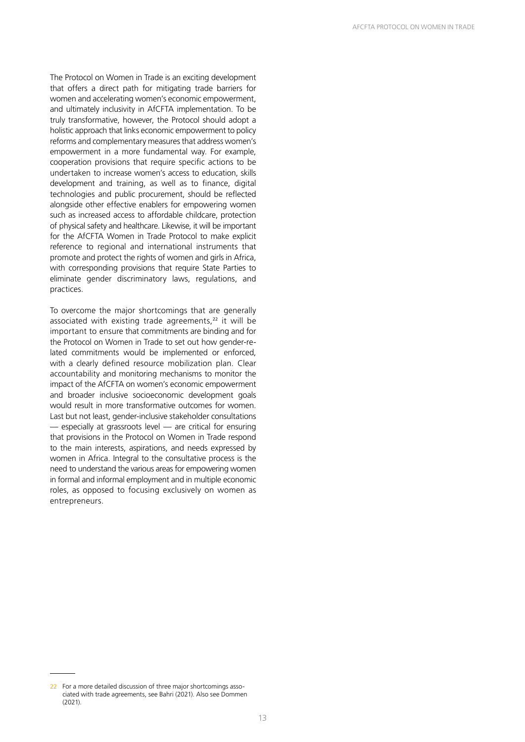The Protocol on Women in Trade is an exciting development that offers a direct path for mitigating trade barriers for women and accelerating women's economic empowerment, and ultimately inclusivity in AfCFTA implementation. To be truly transformative, however, the Protocol should adopt a holistic approach that links economic empowerment to policy reforms and complementary measures that address women's empowerment in a more fundamental way. For example, cooperation provisions that require specific actions to be undertaken to increase women's access to education, skills development and training, as well as to finance, digital technologies and public procurement, should be reflected alongside other effective enablers for empowering women such as increased access to affordable childcare, protection of physical safety and healthcare. Likewise, it will be important for the AfCFTA Women in Trade Protocol to make explicit reference to regional and international instruments that promote and protect the rights of women and girls in Africa, with corresponding provisions that require State Parties to eliminate gender discriminatory laws, regulations, and practices.

To overcome the major shortcomings that are generally associated with existing trade agreements, $22$  it will be important to ensure that commitments are binding and for the Protocol on Women in Trade to set out how gender-related commitments would be implemented or enforced, with a clearly defined resource mobilization plan. Clear accountability and monitoring mechanisms to monitor the impact of the AfCFTA on women's economic empowerment and broader inclusive socioeconomic development goals would result in more transformative outcomes for women. Last but not least, gender-inclusive stakeholder consultations — especially at grassroots level — are critical for ensuring that provisions in the Protocol on Women in Trade respond to the main interests, aspirations, and needs expressed by women in Africa. Integral to the consultative process is the need to understand the various areas for empowering women in formal and informal employment and in multiple economic roles, as opposed to focusing exclusively on women as entrepreneurs.

<sup>22</sup> For a more detailed discussion of three major shortcomings associated with trade agreements, see Bahri (2021). Also see Dommen (2021).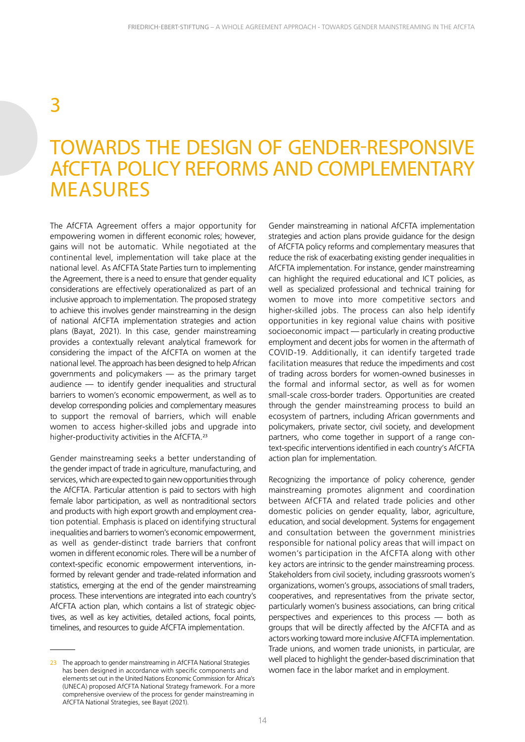## 3

## TOWARDS THE DESIGN OF GENDER-RESPONSIVE AfCFTA POLICY REFORMS AND COMPLEMENTARY MEASURES

The AfCFTA Agreement offers a major opportunity for empowering women in different economic roles; however, gains will not be automatic. While negotiated at the continental level, implementation will take place at the national level. As AfCFTA State Parties turn to implementing the Agreement, there is a need to ensure that gender equality considerations are effectively operationalized as part of an inclusive approach to implementation. The proposed strategy to achieve this involves gender mainstreaming in the design of national AfCFTA implementation strategies and action plans (Bayat, 2021). In this case, gender mainstreaming provides a contextually relevant analytical framework for considering the impact of the AfCFTA on women at the national level. The approach has been designed to help African governments and policymakers — as the primary target audience — to identify gender inequalities and structural barriers to women's economic empowerment, as well as to develop corresponding policies and complementary measures to support the removal of barriers, which will enable women to access higher-skilled jobs and upgrade into higher-productivity activities in the AfCFTA.<sup>23</sup>

Gender mainstreaming seeks a better understanding of the gender impact of trade in agriculture, manufacturing, and services, which are expected to gain new opportunities through the AfCFTA. Particular attention is paid to sectors with high female labor participation, as well as nontraditional sectors and products with high export growth and employment creation potential. Emphasis is placed on identifying structural inequalities and barriers to women's economic empowerment, as well as gender-distinct trade barriers that confront women in different economic roles. There will be a number of context-specific economic empowerment interventions, informed by relevant gender and trade-related information and statistics, emerging at the end of the gender mainstreaming process. These interventions are integrated into each country's AfCFTA action plan, which contains a list of strategic objectives, as well as key activities, detailed actions, focal points, timelines, and resources to guide AfCFTA implementation.

Gender mainstreaming in national AfCFTA implementation strategies and action plans provide guidance for the design of AfCFTA policy reforms and complementary measures that reduce the risk of exacerbating existing gender inequalities in AfCFTA implementation. For instance, gender mainstreaming can highlight the required educational and ICT policies, as well as specialized professional and technical training for women to move into more competitive sectors and higher-skilled jobs. The process can also help identify opportunities in key regional value chains with positive socioeconomic impact — particularly in creating productive employment and decent jobs for women in the aftermath of COVID-19. Additionally, it can identify targeted trade facilitation measures that reduce the impediments and cost of trading across borders for women-owned businesses in the formal and informal sector, as well as for women small-scale cross-border traders. Opportunities are created through the gender mainstreaming process to build an ecosystem of partners, including African governments and policymakers, private sector, civil society, and development partners, who come together in support of a range context-specific interventions identified in each country's AfCFTA action plan for implementation.

Recognizing the importance of policy coherence, gender mainstreaming promotes alignment and coordination between AfCFTA and related trade policies and other domestic policies on gender equality, labor, agriculture, education, and social development. Systems for engagement and consultation between the government ministries responsible for national policy areas that will impact on women's participation in the AfCFTA along with other key actors are intrinsic to the gender mainstreaming process. Stakeholders from civil society, including grassroots women's organizations, women's groups, associations of small traders, cooperatives, and representatives from the private sector, particularly women's business associations, can bring critical perspectives and experiences to this process — both as groups that will be directly affected by the AfCFTA and as actors working toward more inclusive AfCFTA implementation. Trade unions, and women trade unionists, in particular, are well placed to highlight the gender-based discrimination that women face in the labor market and in employment.

<sup>23</sup> The approach to gender mainstreaming in AfCFTA National Strategies has been designed in accordance with specific components and elements set out in the United Nations Economic Commission for Africa's (UNECA) proposed AfCFTA National Strategy framework. For a more comprehensive overview of the process for gender mainstreaming in AfCFTA National Strategies, see Bayat (2021).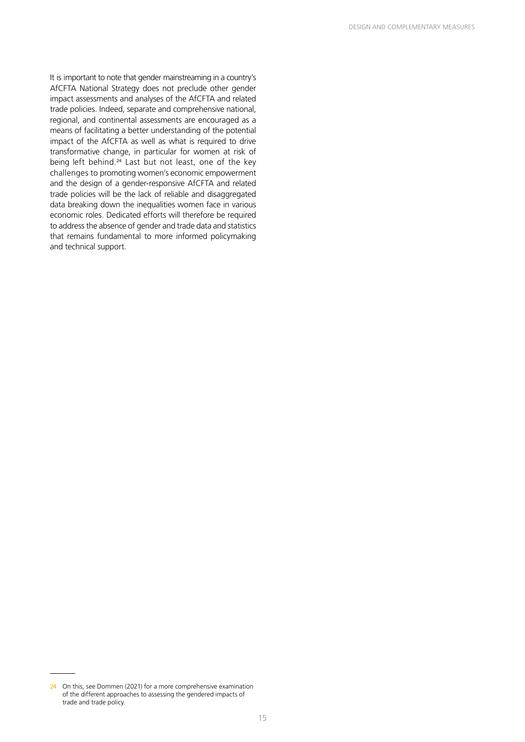It is important to note that gender mainstreaming in a country's AfCFTA National Strategy does not preclude other gender impact assessments and analyses of the AfCFTA and related trade policies. Indeed, separate and comprehensive national, regional, and continental assessments are encouraged as a means of facilitating a better understanding of the potential impact of the AfCFTA as well as what is required to drive transformative change, in particular for women at risk of being left behind.<sup>24</sup> Last but not least, one of the key challenges to promoting women's economic empowerment and the design of a gender-responsive AfCFTA and related trade policies will be the lack of reliable and disaggregated data breaking down the inequalities women face in various economic roles. Dedicated efforts will therefore be required to address the absence of gender and trade data and statistics that remains fundamental to more informed policymaking and technical support.

<sup>24</sup> On this, see Dommen (2021) for a more comprehensive examination of the different approaches to assessing the gendered impacts of trade and trade policy.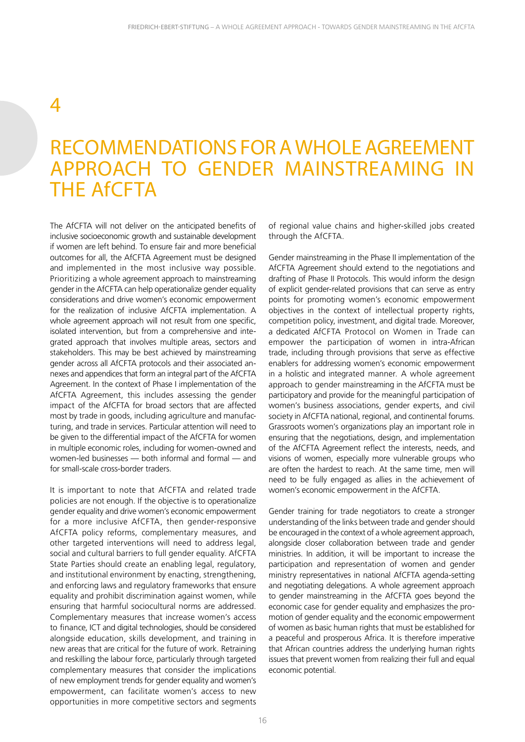## 4

## RECOMMENDATIONS FOR A WHOLE AGREEMENT APPROACH TO GENDER MAINSTREAMING IN THE AfCFTA

The AfCFTA will not deliver on the anticipated benefits of inclusive socioeconomic growth and sustainable development if women are left behind. To ensure fair and more beneficial outcomes for all, the AfCFTA Agreement must be designed and implemented in the most inclusive way possible. Prioritizing a whole agreement approach to mainstreaming gender in the AfCFTA can help operationalize gender equality considerations and drive women's economic empowerment for the realization of inclusive AfCFTA implementation. A whole agreement approach will not result from one specific, isolated intervention, but from a comprehensive and integrated approach that involves multiple areas, sectors and stakeholders. This may be best achieved by mainstreaming gender across all AfCFTA protocols and their associated annexes and appendices that form an integral part of the AfCFTA Agreement. In the context of Phase I implementation of the AfCFTA Agreement, this includes assessing the gender impact of the AfCFTA for broad sectors that are affected most by trade in goods, including agriculture and manufacturing, and trade in services. Particular attention will need to be given to the differential impact of the AfCFTA for women in multiple economic roles, including for women-owned and women-led businesses — both informal and formal — and for small-scale cross-border traders.

It is important to note that AfCFTA and related trade policies are not enough. If the objective is to operationalize gender equality and drive women's economic empowerment for a more inclusive AfCFTA, then gender-responsive AfCFTA policy reforms, complementary measures, and other targeted interventions will need to address legal, social and cultural barriers to full gender equality. AfCFTA State Parties should create an enabling legal, regulatory, and institutional environment by enacting, strengthening, and enforcing laws and regulatory frameworks that ensure equality and prohibit discrimination against women, while ensuring that harmful sociocultural norms are addressed. Complementary measures that increase women's access to finance, ICT and digital technologies, should be considered alongside education, skills development, and training in new areas that are critical for the future of work. Retraining and reskilling the labour force, particularly through targeted complementary measures that consider the implications of new employment trends for gender equality and women's empowerment, can facilitate women's access to new opportunities in more competitive sectors and segments

of regional value chains and higher-skilled jobs created through the AfCFTA.

Gender mainstreaming in the Phase II implementation of the AfCFTA Agreement should extend to the negotiations and drafting of Phase II Protocols. This would inform the design of explicit gender-related provisions that can serve as entry points for promoting women's economic empowerment objectives in the context of intellectual property rights, competition policy, investment, and digital trade. Moreover, a dedicated AfCFTA Protocol on Women in Trade can empower the participation of women in intra-African trade, including through provisions that serve as effective enablers for addressing women's economic empowerment in a holistic and integrated manner. A whole agreement approach to gender mainstreaming in the AfCFTA must be participatory and provide for the meaningful participation of women's business associations, gender experts, and civil society in AfCFTA national, regional, and continental forums. Grassroots women's organizations play an important role in ensuring that the negotiations, design, and implementation of the AfCFTA Agreement reflect the interests, needs, and visions of women, especially more vulnerable groups who are often the hardest to reach. At the same time, men will need to be fully engaged as allies in the achievement of women's economic empowerment in the AfCFTA.

Gender training for trade negotiators to create a stronger understanding of the links between trade and gender should be encouraged in the context of a whole agreement approach, alongside closer collaboration between trade and gender ministries. In addition, it will be important to increase the participation and representation of women and gender ministry representatives in national AfCFTA agenda-setting and negotiating delegations. A whole agreement approach to gender mainstreaming in the AfCFTA goes beyond the economic case for gender equality and emphasizes the promotion of gender equality and the economic empowerment of women as basic human rights that must be established for a peaceful and prosperous Africa. It is therefore imperative that African countries address the underlying human rights issues that prevent women from realizing their full and equal economic potential.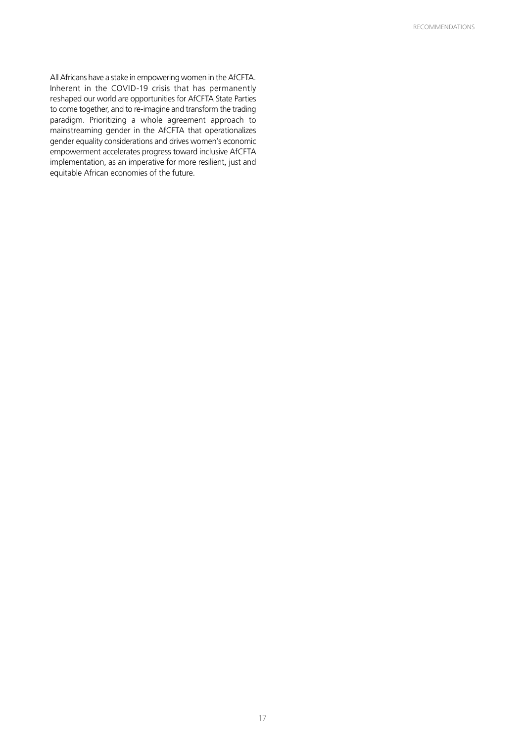All Africans have a stake in empowering women in the AfCFTA. Inherent in the COVID-19 crisis that has permanently reshaped our world are opportunities for AfCFTA State Parties to come together, and to re-imagine and transform the trading paradigm. Prioritizing a whole agreement approach to mainstreaming gender in the AfCFTA that operationalizes gender equality considerations and drives women's economic empowerment accelerates progress toward inclusive AfCFTA implementation, as an imperative for more resilient, just and equitable African economies of the future.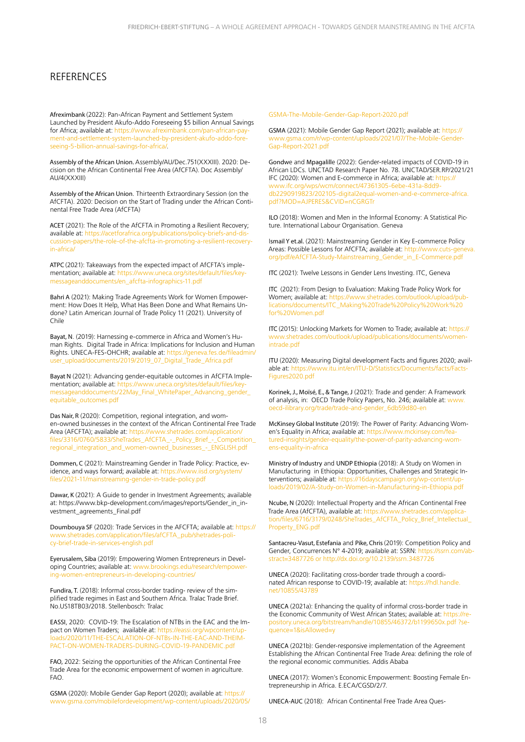#### **REFERENCES**

Afreximbank (2022): Pan-African Payment and Settlement System Launched by President Akufo-Addo Foreseeing \$5 billion Annual Savings for Africa; available at: https://www.afreximbank.com/pan-african-payment-and-settlement-system-launched-by-president-akufo-addo-foreseeing-5-billion-annual-savings-for-africa/.

Assembly of the African Union. Assembly/AU/Dec.751(XXXIII). 2020: Decision on the African Continental Free Area (AfCFTA). Doc Assembly/ AU/4(XXXIII)

Assembly of the African Union. Thirteenth Extraordinary Session (on the AfCFTA). 2020: Decision on the Start of Trading under the African Continental Free Trade Area (AfCFTA)

ACET (2021): The Role of the AfCFTA in Promoting a Resilient Recovery; available at: https://acetforafrica.org/publications/policy-briefs-and-di cussion-papers/the-role-of-the-afcfta-in-promoting-a-resilient-recoveryin-africa/

ATPC (2021): Takeaways from the expected impact of AfCFTA's implementation; available at: https://www.uneca.org/sites/default/files/keymessageanddocuments/en\_afcfta-infographics-11.pdf

Bahri A (2021): Making Trade Agreements Work for Women Empowerment: How Does It Help, What Has Been Done and What Remains Undone? Latin American Journal of Trade Policy 11 (2021). University of Chile

Bayat, N. (2019): Harnessing e-commerce in Africa and Women's Human Rights. Digital Trade in Africa: Implications for Inclusion and Human Rights. UNECA-FES-OHCHR; available at: https://geneva.fes.de/fileadmin/ user\_upload/documents/2019/2019\_07\_Digital\_Trade\_Africa.pdf

Bayat N (2021): Advancing gender-equitable outcomes in AfCFTA Implementation; available at: https://www.uneca.org/sites/default/files/keymessageanddocuments/22May\_Final\_WhitePaper\_Advancing\_gender\_ equitable\_outcomes.pdf

Das Nair, R (2020): Competition, regional integration, and women-owned businesses in the context of the African Continental Free Trade Area (AFCFTA); available at: https://www.shetrades.com/application/ files/3316/0760/5833/SheTrades\_AfCFTA\_-\_Policy\_Brief\_-\_Competition\_ regional\_integration\_and\_women-owned\_businesses\_-\_ENGLISH.pdf

Dommen, C (2021): Mainstreaming Gender in Trade Policy: Practice, evidence, and ways forward; available at: https://www.iisd.org/system/ files/2021-11/mainstreaming-gender-in-trade-policy.pdf

Dawar, K (2021): A Guide to gender in Investment Agreements; available at: https://www.bkp-development.com/images/reports/Gender\_in\_investment\_agreements\_Final.pdf

Doumbouya SF (2020): Trade Services in the AFCFTA; available at: https:// www.shetrades.com/application/files/afCFTA\_pub/shetrades-policy-brief-trade-in-services-english.pdf

Eyerusalem, Siba (2019): Empowering Women Entrepreneurs in Developing Countries; available at: www.brookings.edu/research/empowering-women-entrepreneurs-in-developing-countries/

Fundira, T. (2018): Informal cross-border trading- review of the simplified trade regimes in East and Southern Africa. Tralac Trade Brief. No.US18TB03/2018. Stellenbosch: Tralac

EASSI, 2020: COVID-19: The Escalation of NTBs in the EAC and the Impact on Women Traders; available at: https://eassi.org/wpcontent/uploads/2020/11/THE-ESCALATION-OF-NTBs-IN-THE-EAC-AND-THEIM-PACT-ON-WOMEN-TRADERS-DURING-COVID-19-PANDEMIC.pdf

FAO, 2022: Seizing the opportunities of the African Continental Free Trade Area for the economic empowerment of women in agriculture. FAO.

GSMA (2020): Mobile Gender Gap Report (2020); available at: https:// www.gsma.com/mobilefordevelopment/wp-content/uploads/2020/05/

#### GSMA-The-Mobile-Gender-Gap-Report-2020.pdf

GSMA (2021): Mobile Gender Gap Report (2021); available at: https:// www.gsma.com/r/wp-content/uploads/2021/07/The-Mobile-Gender-Gap-Report-2021.pdf

Gondwe and Mpagalille (2022): Gender-related impacts of COVID-19 in African LDCs. UNCTAD Research Paper No. 78. UNCTAD/SER.RP/2021/21 IFC (2020): Women and E-commerce in Africa; available at: https:// www.ifc.org/wps/wcm/connect/47361305-6ebe-431a-8dd9 db2290919823/202105-digital2equal-women-and-e-commerce-africa. pdf?MOD=AJPERES&CVID=nCGRGTr

ILO (2018): Women and Men in the Informal Economy: A Statistical Picture. International Labour Organisation. Geneva

Ismail Y et.al. (2021): Mainstreaming Gender in Key E-commerce Policy Areas: Possible Lessons for AfCFTA; available at: http://www.cuts-geneva. org/pdf/eAfCFTA-Study-Mainstreaming\_Gender\_in\_E-Commerce.pdf

ITC (2021): Twelve Lessons in Gender Lens Investing. ITC, Geneva

ITC (2021): From Design to Evaluation: Making Trade Policy Work for Women; available at: https://www.shetrades.com/outlook/upload/publications/documents/ITC\_Making%20Trade%20Policy%20Work%20 for%20Women.pdf

ITC (2015): Unlocking Markets for Women to Trade; available at: https:// www.shetrades.com/outlook/upload/publications/documents/womenintrade.pdf

ITU (2020): Measuring Digital development Facts and figures 2020; available at: https://www.itu.int/en/ITU-D/Statistics/Documents/facts/Facts-Figures2020.pdf

Korinek, J., Moïsé, E., & Tange, J (2021): Trade and gender: A Framework of analysis, in: OECD Trade Policy Papers, No. 246; available at: www. oecd-ilibrary.org/trade/trade-and-gender\_6db59d80-en

McKinsey Global Institute (2019): The Power of Parity: Advancing Women's Equality in Africa; available at: https://www.mckinsey.com/featured-insights/gender-equality/the-power-of-parity-advancing-womens-equality-in-africa

Ministry of Industry and UNDP Ethiopia (2018): A Study on Women in Manufacturing in Ethiopia: Opportunities, Challenges and Strategic Interventions; available at: https://16dayscampaign.org/wp-content/uploads/2019/02/A-Study-on-Women-in-Manufacturing-in-Ethiopia.pdf

Ncube, N (2020): Intellectual Property and the African Continental Free Trade Area (AfCFTA), available at: https://www.shetrades.com/application/files/6716/3179/0248/SheTrades\_AfCFTA\_Policy\_Brief\_Intellectual\_ Property\_ENG.pdf

Santacreu-Vasut, Estefania and Pike, Chris (2019): Competition Policy and Gender, Concurrences N° 4-2019; available at: SSRN: https://ssrn.com/abstract=3487726 or http://dx.doi.org/10.2139/ssrn.3487726

UNECA (2020): Facilitating cross-border trade through a coordinated African response to COVID-19; available at: https://hdl.handle. net/10855/43789

UNECA (2021a): Enhancing the quality of informal cross-border trade in the Economic Community of West African States; available at: https://repository.uneca.org/bitstream/handle/10855/46372/b1199650x.pdf ?sequence=1&isAllowed=y

UNECA (2021b): Gender-responsive implementation of the Agreement Establishing the African Continental Free Trade Area: defining the role of the regional economic communities. Addis Ababa

UNECA (2017): Women's Economic Empowerment: Boosting Female Entrepreneurship in Africa. E.ECA/CGSD/2/7.

UNECA-AUC (2018): African Continental Free Trade Area Ques-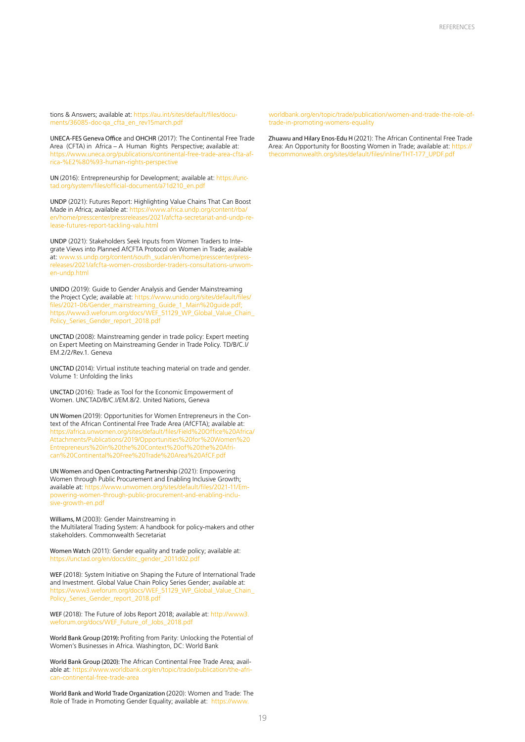tions & Answers; available at: https://au.int/sites/default/files/documents/36085-doc-qa\_cfta\_en\_rev15march.pdf

UNECA-FES Geneva Office and OHCHR (2017): The Continental Free Trade Area (CFTA) in Africa – A Human Rights Perspective; available at: https://www.uneca.org/publications/continental-free-trade-area-cfta-africa-%E2%80%93-human-rights-perspective

UN (2016): Entrepreneurship for Development; available at: https://unctad.org/system/files/official-document/a71d210\_en.pdf

UNDP (2021): Futures Report: Highlighting Value Chains That Can Boost Made in Africa; available at: https://www.africa.undp.org/content/rba/ en/home/presscenter/pressreleases/2021/afcfta-secretariat-and-undp-release-futures-report-tackling-valu.html

UNDP (2021): Stakeholders Seek Inputs from Women Traders to Integrate Views into Planned AfCFTA Protocol on Women in Trade; available at: www.ss.undp.org/content/south\_sudan/en/home/presscenter/pressreleases/2021/afcfta-women-crossborder-traders-consultations-unwomen-undp.html

UNIDO (2019): Guide to Gender Analysis and Gender Mainstreaming the Project Cycle; available at: https://www.unido.org/sites/default/files/ files/2021-06/Gender\_mainstreaming\_Guide\_1\_Main%20guide.pdf; https://www3.weforum.org/docs/WEF\_51129\_WP\_Global\_Value\_Chain\_ Policy\_Series\_Gender\_report\_2018.pdf

UNCTAD (2008): Mainstreaming gender in trade policy: Expert meeting on Expert Meeting on Mainstreaming Gender in Trade Policy. TD/B/C.I/ EM.2/2/Rev.1. Geneva

UNCTAD (2014): Virtual institute teaching material on trade and gender. Volume 1: Unfolding the links

UNCTAD (2016): Trade as Tool for the Economic Empowerment of Women. UNCTAD/B/C.I/EM.8/2. United Nations, Geneva

UN Women (2019): Opportunities for Women Entrepreneurs in the Context of the African Continental Free Trade Area (AfCFTA); available at: https://africa.unwomen.org/sites/default/files/Field%20Office%20Africa/ Attachments/Publications/2019/Opportunities%20for%20Women%20 Entrepreneurs%20in%20the%20Context%20of%20the%20African%20Continental%20Free%20Trade%20Area%20AfCF.pdf

UN Women and Open Contracting Partnership (2021): Empowering Women through Public Procurement and Enabling Inclusive Growth; available at: https://www.unwomen.org/sites/default/files/2021-11/Empowering-women-through-public-procurement-and-enabling-inclusive-growth-en.pdf

Williams, M (2003): Gender Mainstreaming in the Multilateral Trading System: A handbook for policy-makers and other stakeholders. Commonwealth Secretariat

Women Watch (2011): Gender equality and trade policy; available at: https://unctad.org/en/docs/ditc\_gender\_2011d02.pdf

WEF (2018): System Initiative on Shaping the Future of International Trade and Investment. Global Value Chain Policy Series Gender; available at: https://www3.weforum.org/docs/WEF\_51129\_WP\_Global\_Value\_Chain\_ Policy\_Series\_Gender\_report\_2018.pdf

WEF (2018): The Future of Jobs Report 2018; available at: http://www3. weforum.org/docs/WEF\_Future\_of\_Jobs\_2018.pdf

World Bank Group (2019): Profiting from Parity: Unlocking the Potential of Women's Businesses in Africa. Washington, DC: World Bank

World Bank Group (2020): The African Continental Free Trade Area; available at: https://www.worldbank.org/en/topic/trade/publication/the-african-continental-free-trade-area

World Bank and World Trade Organization (2020): Women and Trade: The Role of Trade in Promoting Gender Equality; available at: https://www.

worldbank.org/en/topic/trade/publication/women-and-trade-the-role-oftrade-in-promoting-womens-equality

Zhuawu and Hilary Enos-Edu H (2021): The African Continental Free Trade Area: An Opportunity for Boosting Women in Trade; available at: https:// thecommonwealth.org/sites/default/files/inline/THT-177\_UPDF.pdf